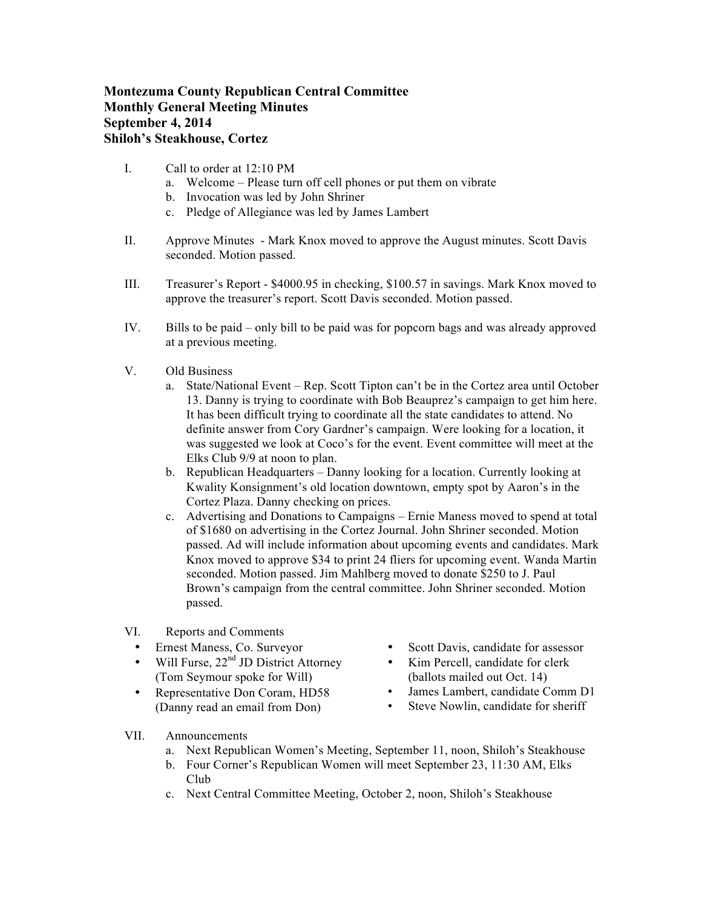## **Montezuma County Republican Central Committee Monthly General Meeting Minutes September 4, 2014 Shiloh's Steakhouse, Cortez**

- I. Call to order at 12:10 PM
	- a. Welcome Please turn off cell phones or put them on vibrate
	- b. Invocation was led by John Shriner
	- c. Pledge of Allegiance was led by James Lambert
- II. Approve Minutes Mark Knox moved to approve the August minutes. Scott Davis seconded. Motion passed.
- III. Treasurer's Report \$4000.95 in checking, \$100.57 in savings. Mark Knox moved to approve the treasurer's report. Scott Davis seconded. Motion passed.
- IV. Bills to be paid only bill to be paid was for popcorn bags and was already approved at a previous meeting.
- V. Old Business
	- a. State/National Event Rep. Scott Tipton can't be in the Cortez area until October 13. Danny is trying to coordinate with Bob Beauprez's campaign to get him here. It has been difficult trying to coordinate all the state candidates to attend. No definite answer from Cory Gardner's campaign. Were looking for a location, it was suggested we look at Coco's for the event. Event committee will meet at the Elks Club 9/9 at noon to plan.
	- b. Republican Headquarters Danny looking for a location. Currently looking at Kwality Konsignment's old location downtown, empty spot by Aaron's in the Cortez Plaza. Danny checking on prices.
	- c. Advertising and Donations to Campaigns Ernie Maness moved to spend at total of \$1680 on advertising in the Cortez Journal. John Shriner seconded. Motion passed. Ad will include information about upcoming events and candidates. Mark Knox moved to approve \$34 to print 24 fliers for upcoming event. Wanda Martin seconded. Motion passed. Jim Mahlberg moved to donate \$250 to J. Paul Brown's campaign from the central committee. John Shriner seconded. Motion passed.
- VI. Reports and Comments
	- Ernest Maness, Co. Surveyor
	- Will Furse, 22<sup>nd</sup> JD District Attorney (Tom Seymour spoke for Will)
	- Representative Don Coram, HD58 (Danny read an email from Don)
- Scott Davis, candidate for assessor
- Kim Percell, candidate for clerk (ballots mailed out Oct. 14)
- James Lambert, candidate Comm D1
- Steve Nowlin, candidate for sheriff

- VII. Announcements
	- a. Next Republican Women's Meeting, September 11, noon, Shiloh's Steakhouse
	- b. Four Corner's Republican Women will meet September 23, 11:30 AM, Elks Club
	- c. Next Central Committee Meeting, October 2, noon, Shiloh's Steakhouse